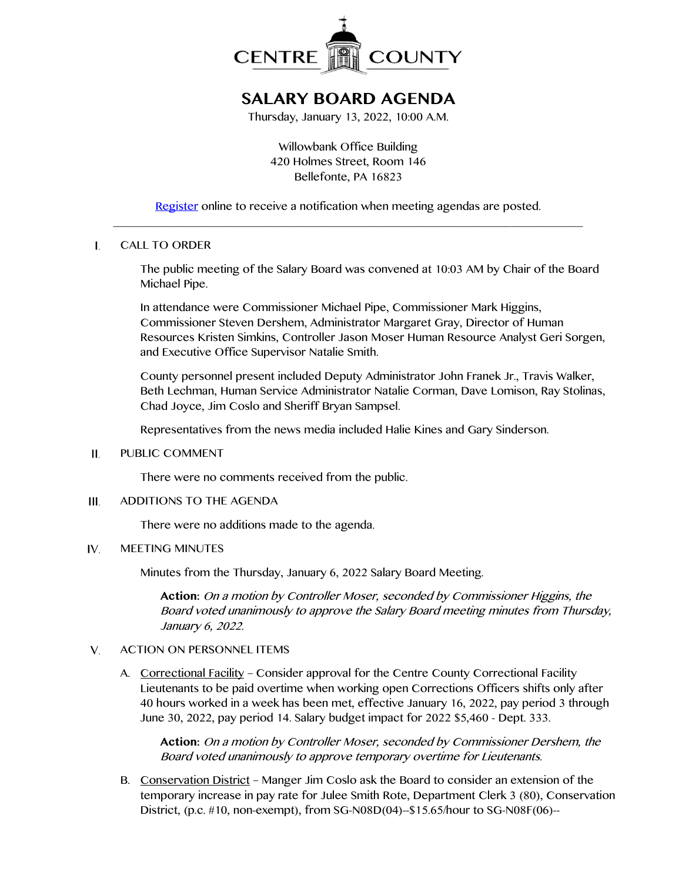

# **SALARY BOARD AGENDA**

Thursday, January 13, 2022, 10:00 A.M.

Willowbank Office Building 420 Holmes Street, Room 146 Bellefonte, PA 16823

[Register](http://www.centrecountypa.gov/AgendaCenter) online to receive a notification when meeting agendas are posted. \_\_\_\_\_\_\_\_\_\_\_\_\_\_\_\_\_\_\_\_\_\_\_\_\_\_\_\_\_\_\_\_\_\_\_\_\_\_\_\_\_\_\_\_\_\_\_\_\_\_\_\_\_\_\_\_\_\_\_\_\_\_\_\_\_\_\_\_\_\_\_\_\_\_\_\_\_\_

### $\mathbf{I}$ . CALL TO ORDER

The public meeting of the Salary Board was convened at 10:03 AM by Chair of the Board Michael Pipe.

In attendance were Commissioner Michael Pipe, Commissioner Mark Higgins, Commissioner Steven Dershem, Administrator Margaret Gray, Director of Human Resources Kristen Simkins, Controller Jason Moser Human Resource Analyst Geri Sorgen, and Executive Office Supervisor Natalie Smith.

County personnel present included Deputy Administrator John Franek Jr., Travis Walker, Beth Lechman, Human Service Administrator Natalie Corman, Dave Lomison, Ray Stolinas, Chad Joyce, Jim Coslo and Sheriff Bryan Sampsel.

Representatives from the news media included Halie Kines and Gary Sinderson.

## PUBLIC COMMENT II.

There were no comments received from the public.

### ADDITIONS TO THE AGENDA III.

There were no additions made to the agenda.

#### IV. MEETING MINUTES

Minutes from the Thursday, January 6, 2022 Salary Board Meeting.

**Action:** On a motion by Controller Moser, seconded by Commissioner Higgins, the Board voted unanimously to approve the Salary Board meeting minutes from Thursday, January 6, 2022.

#### $V_{1}$ ACTION ON PERSONNEL ITEMS

A. Correctional Facility – Consider approval for the Centre County Correctional Facility Lieutenants to be paid overtime when working open Corrections Officers shifts only after 40 hours worked in a week has been met, effective January 16, 2022, pay period 3 through June 30, 2022, pay period 14. Salary budget impact for 2022 \$5,460 - Dept. 333.

**Action:** On a motion by Controller Moser, seconded by Commissioner Dershem, the Board voted unanimously to approve temporary overtime for Lieutenants.

B. Conservation District – Manger Jim Coslo ask the Board to consider an extension of the temporary increase in pay rate for Julee Smith Rote, Department Clerk 3 (80), Conservation District, (p.c. #10, non-exempt), from SG-N08D(04)--\$15.65/hour to SG-N08F(06)--